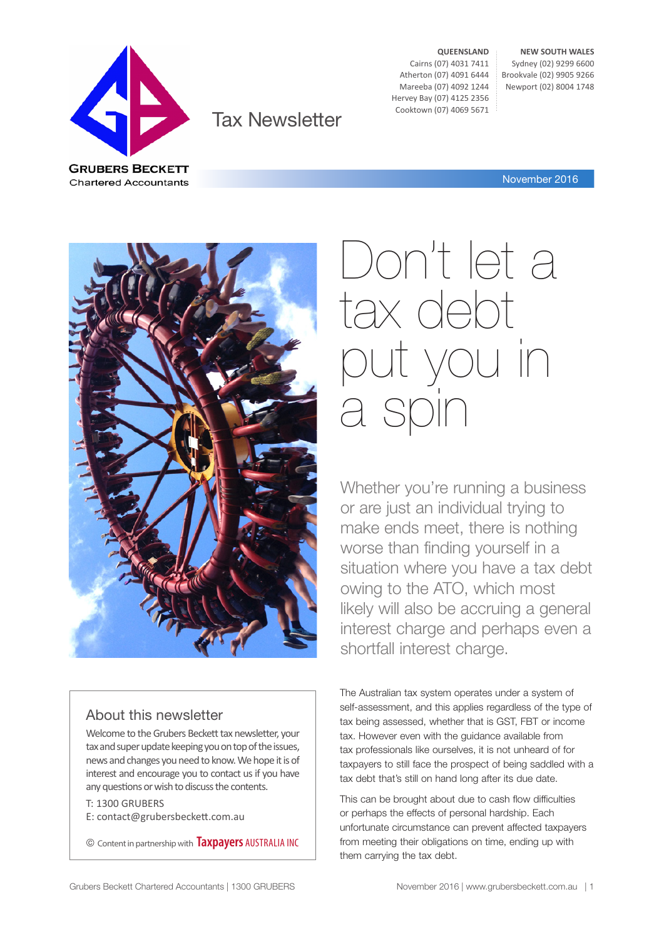

Tax Newsletter

**QUEENSLAND** Cairns (07) 4031 7411 Atherton (07) 4091 6444 Mareeba (07) 4092 1244 Hervey Bay (07) 4125 2356 Cooktown (07) 4069 5671

**NEW SOUTH WALES** Sydney (02) 9299 6600 Brookvale (02) 9905 9266 Newport (02) 8004 1748

November 2016



#### About this newsletter

Welcome to the Grubers Beckett tax newsletter, your tax and super update keeping you on top of the issues, news and changes you need to know. We hope it is of interest and encourage you to contact us if you have any questions or wish to discuss the contents.

T: 1300 GRUBERS E: contact@grubersbeckett.com.au

© Content in partnership with **Taxpayers** AUSTRALIA INC

# Don't let a tax debt put you in a s

Whether you're running a business or are just an individual trying to make ends meet, there is nothing worse than finding yourself in a situation where you have a tax debt owing to the ATO, which most likely will also be accruing a general interest charge and perhaps even a shortfall interest charge.

The Australian tax system operates under a system of self-assessment, and this applies regardless of the type of tax being assessed, whether that is GST, FBT or income tax. However even with the guidance available from tax professionals like ourselves, it is not unheard of for taxpayers to still face the prospect of being saddled with a tax debt that's still on hand long after its due date.

This can be brought about due to cash flow difficulties or perhaps the effects of personal hardship. Each unfortunate circumstance can prevent affected taxpayers from meeting their obligations on time, ending up with them carrying the tax debt.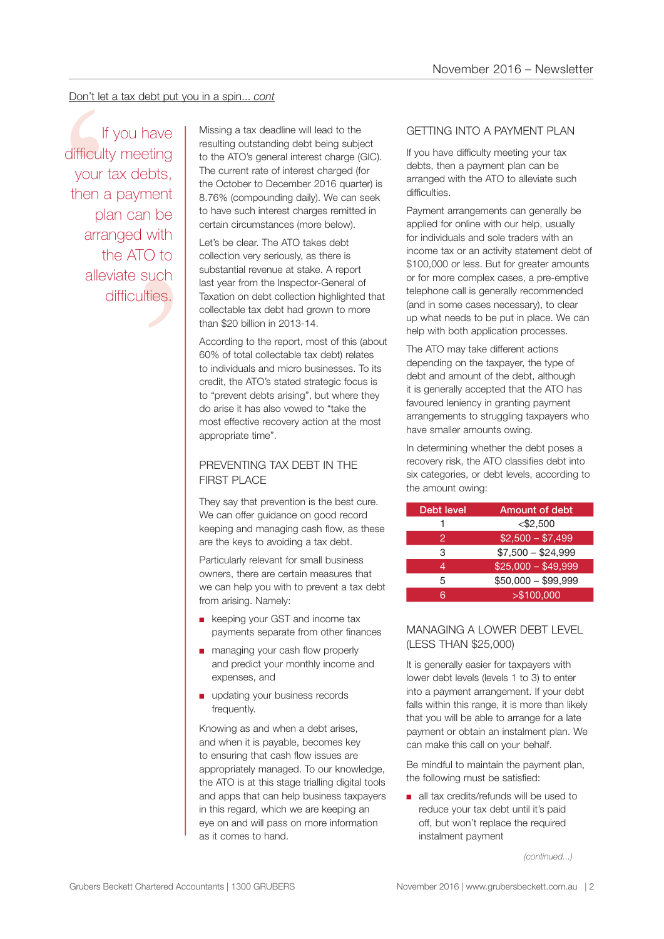#### Don't let a tax debt put you in a spin... *cont*

n be<br>
n be<br>
with<br>
O to<br>
such<br>
ties. Don't let a tax debt put you in a spin... cont<br>
If you have<br>
If you have<br>
If would have<br>
If itsing a tax deadline will lead to the<br>
resulting outstanding debt being subject to the ATO's general interest charged (for<br>
the A If you have difficulty meeting your tax debts, then a payment plan can be arranged with the ATO to alleviate such difficulties.

resulting outstanding debt being subject to the ATO's general interest charge (GIC). The current rate of interest charged (for the October to December 2016 quarter) is 8.76% (compounding daily). We can seek to have such interest charges remitted in certain circumstances (more below).

Let's be clear. The ATO takes debt collection very seriously, as there is substantial revenue at stake. A report last year from the Inspector-General of Taxation on debt collection highlighted that collectable tax debt had grown to more than \$20 billion in 2013-14.

According to the report, most of this (about 60% of total collectable tax debt) relates to individuals and micro businesses. To its credit, the ATO's stated strategic focus is to "prevent debts arising", but where they do arise it has also vowed to "take the most effective recovery action at the most appropriate time".

#### PREVENTING TAX DEBT IN THE FIRST PLACE

They say that prevention is the best cure. We can offer guidance on good record keeping and managing cash flow, as these are the keys to avoiding a tax debt.

Particularly relevant for small business owners, there are certain measures that we can help you with to prevent a tax debt from arising. Namely:

- keeping your GST and income tax payments separate from other finances
- managing your cash flow properly and predict your monthly income and expenses, and
- updating your business records frequently.

Knowing as and when a debt arises, and when it is payable, becomes key to ensuring that cash flow issues are appropriately managed. To our knowledge, the ATO is at this stage trialling digital tools and apps that can help business taxpayers in this regard, which we are keeping an eye on and will pass on more information as it comes to hand.

#### GETTING INTO A PAYMENT PLAN

If you have difficulty meeting your tax debts, then a payment plan can be arranged with the ATO to alleviate such difficulties.

Payment arrangements can generally be applied for online with our help, usually for individuals and sole traders with an income tax or an activity statement debt of \$100,000 or less. But for greater amounts or for more complex cases, a pre-emptive telephone call is generally recommended (and in some cases necessary), to clear up what needs to be put in place. We can help with both application processes.

The ATO may take different actions depending on the taxpayer, the type of debt and amount of the debt, although it is generally accepted that the ATO has favoured leniency in granting payment arrangements to struggling taxpayers who have smaller amounts owing.

In determining whether the debt poses a recovery risk, the ATO classifies debt into six categories, or debt levels, according to the amount owing:

| Debt level | Amount of debt      |
|------------|---------------------|
|            | $<$ \$2,500         |
| 2          | $$2,500 - $7,499$   |
| 3          | $$7,500 - $24,999$  |
| 4          | $$25,000 - $49,999$ |
| 5          | $$50,000 - $99,999$ |
| ิล         | > \$100,000         |

#### MANAGING A LOWER DEBT LEVEL (LESS THAN \$25,000)

It is generally easier for taxpayers with lower debt levels (levels 1 to 3) to enter into a payment arrangement. If your debt falls within this range, it is more than likely that you will be able to arrange for a late payment or obtain an instalment plan. We can make this call on your behalf.

Be mindful to maintain the payment plan, the following must be satisfied:

■ all tax credits/refunds will be used to reduce your tax debt until it's paid off, but won't replace the required instalment payment

*(continued...)*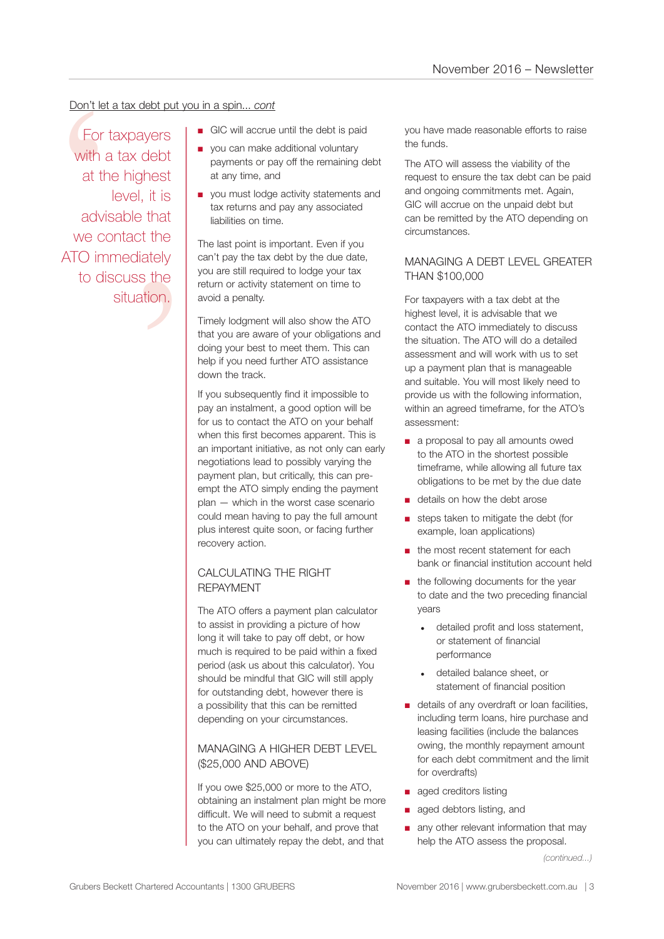#### Don't let a tax debt put you in a spin... *cont*

that<br>t the<br>ately<br>s the<br>tion. Don't let a<br>
For ta<br>
with a<br>
at the<br>
advis<br>
we con<br>
ATO imm<br>
to dis For taxpayers with a tax debt at the highest level, it is advisable that we contact the ATO immediately to discuss the situation.

- GIC will accrue until the debt is paid
- you can make additional voluntary payments or pay off the remaining debt at any time, and
- you must lodge activity statements and tax returns and pay any associated liabilities on time.

The last point is important. Even if you can't pay the tax debt by the due date, you are still required to lodge your tax return or activity statement on time to avoid a penalty.

Timely lodgment will also show the ATO that you are aware of your obligations and doing your best to meet them. This can help if you need further ATO assistance down the track.

If you subsequently find it impossible to pay an instalment, a good option will be for us to contact the ATO on your behalf when this first becomes apparent. This is an important initiative, as not only can early negotiations lead to possibly varying the payment plan, but critically, this can preempt the ATO simply ending the payment plan — which in the worst case scenario could mean having to pay the full amount plus interest quite soon, or facing further recovery action.

#### CALCULATING THE RIGHT REPAYMENT

The ATO offers a payment plan calculator to assist in providing a picture of how long it will take to pay off debt, or how much is required to be paid within a fixed period (ask us about this calculator). You should be mindful that GIC will still apply for outstanding debt, however there is a possibility that this can be remitted depending on your circumstances.

#### MANAGING A HIGHER DEBT LEVEL (\$25,000 AND ABOVE)

If you owe \$25,000 or more to the ATO, obtaining an instalment plan might be more difficult. We will need to submit a request to the ATO on your behalf, and prove that you can ultimately repay the debt, and that

you have made reasonable efforts to raise the funds.

The ATO will assess the viability of the request to ensure the tax debt can be paid and ongoing commitments met. Again, GIC will accrue on the unpaid debt but can be remitted by the ATO depending on circumstances.

#### MANAGING A DEBT LEVEL GREATER THAN \$100,000

For taxpayers with a tax debt at the highest level, it is advisable that we contact the ATO immediately to discuss the situation. The ATO will do a detailed assessment and will work with us to set up a payment plan that is manageable and suitable. You will most likely need to provide us with the following information, within an agreed timeframe, for the ATO's assessment:

- a proposal to pay all amounts owed to the ATO in the shortest possible timeframe, while allowing all future tax obligations to be met by the due date
- details on how the debt arose
- steps taken to mitigate the debt (for example, loan applications)
- the most recent statement for each bank or financial institution account held
- the following documents for the year to date and the two preceding financial years
	- detailed profit and loss statement, or statement of financial performance
	- detailed balance sheet, or statement of financial position
- details of any overdraft or loan facilities, including term loans, hire purchase and leasing facilities (include the balances owing, the monthly repayment amount for each debt commitment and the limit for overdrafts)
- aged creditors listing
- aged debtors listing, and
- any other relevant information that may help the ATO assess the proposal.

*(continued...)*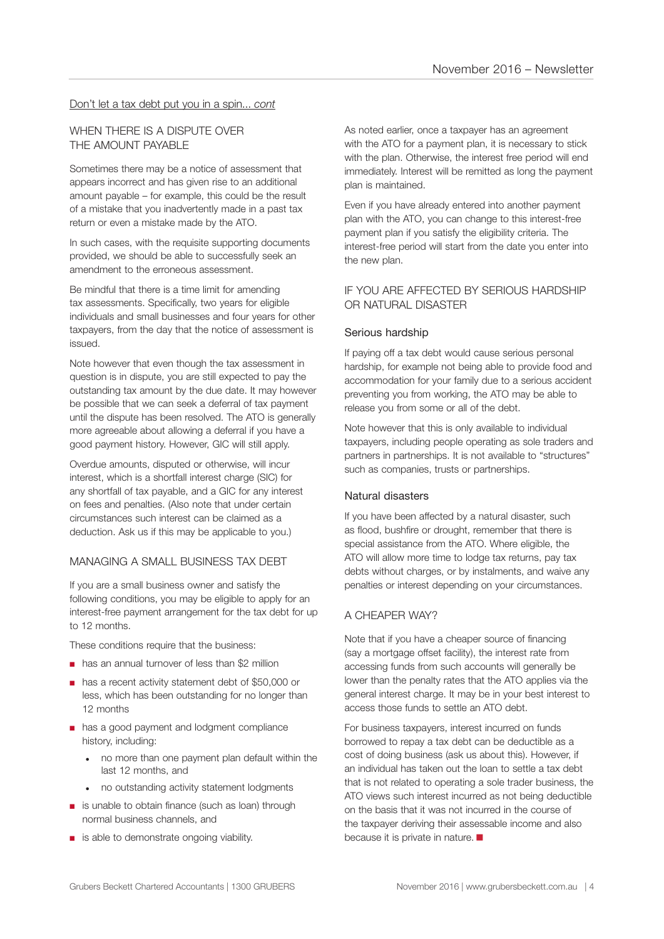#### Don't let a tax debt put you in a spin... *cont*

#### WHEN THERE IS A DISPUTE OVER THE AMOUNT PAYABLE

Sometimes there may be a notice of assessment that appears incorrect and has given rise to an additional amount payable – for example, this could be the result of a mistake that you inadvertently made in a past tax return or even a mistake made by the ATO.

In such cases, with the requisite supporting documents provided, we should be able to successfully seek an amendment to the erroneous assessment.

Be mindful that there is a time limit for amending tax assessments. Specifically, two years for eligible individuals and small businesses and four years for other taxpayers, from the day that the notice of assessment is issued.

Note however that even though the tax assessment in question is in dispute, you are still expected to pay the outstanding tax amount by the due date. It may however be possible that we can seek a deferral of tax payment until the dispute has been resolved. The ATO is generally more agreeable about allowing a deferral if you have a good payment history. However, GIC will still apply.

Overdue amounts, disputed or otherwise, will incur interest, which is a shortfall interest charge (SIC) for any shortfall of tax payable, and a GIC for any interest on fees and penalties. (Also note that under certain circumstances such interest can be claimed as a deduction. Ask us if this may be applicable to you.)

#### MANAGING A SMALL BUSINESS TAX DEBT

If you are a small business owner and satisfy the following conditions, you may be eligible to apply for an interest-free payment arrangement for the tax debt for up to 12 months.

These conditions require that the business:

- has an annual turnover of less than \$2 million
- has a recent activity statement debt of \$50,000 or less, which has been outstanding for no longer than 12 months
- has a good payment and lodgment compliance history, including:
	- no more than one payment plan default within the last 12 months, and
	- no outstanding activity statement lodgments
- is unable to obtain finance (such as loan) through normal business channels, and
- is able to demonstrate ongoing viability.

As noted earlier, once a taxpayer has an agreement with the ATO for a payment plan, it is necessary to stick with the plan. Otherwise, the interest free period will end immediately. Interest will be remitted as long the payment plan is maintained.

Even if you have already entered into another payment plan with the ATO, you can change to this interest-free payment plan if you satisfy the eligibility criteria. The interest-free period will start from the date you enter into the new plan.

#### IF YOU ARE AFFECTED BY SERIOUS HARDSHIP OR NATURAL DISASTER

#### Serious hardship

If paying off a tax debt would cause serious personal hardship, for example not being able to provide food and accommodation for your family due to a serious accident preventing you from working, the ATO may be able to release you from some or all of the debt.

Note however that this is only available to individual taxpayers, including people operating as sole traders and partners in partnerships. It is not available to "structures" such as companies, trusts or partnerships.

#### Natural disasters

If you have been affected by a natural disaster, such as flood, bushfire or drought, remember that there is special assistance from the ATO. Where eligible, the ATO will allow more time to lodge tax returns, pay tax debts without charges, or by instalments, and waive any penalties or interest depending on your circumstances.

#### A CHEAPER WAY?

Note that if you have a cheaper source of financing (say a mortgage offset facility), the interest rate from accessing funds from such accounts will generally be lower than the penalty rates that the ATO applies via the general interest charge. It may be in your best interest to access those funds to settle an ATO debt.

For business taxpayers, interest incurred on funds borrowed to repay a tax debt can be deductible as a cost of doing business (ask us about this). However, if an individual has taken out the loan to settle a tax debt that is not related to operating a sole trader business, the ATO views such interest incurred as not being deductible on the basis that it was not incurred in the course of the taxpayer deriving their assessable income and also because it is private in nature.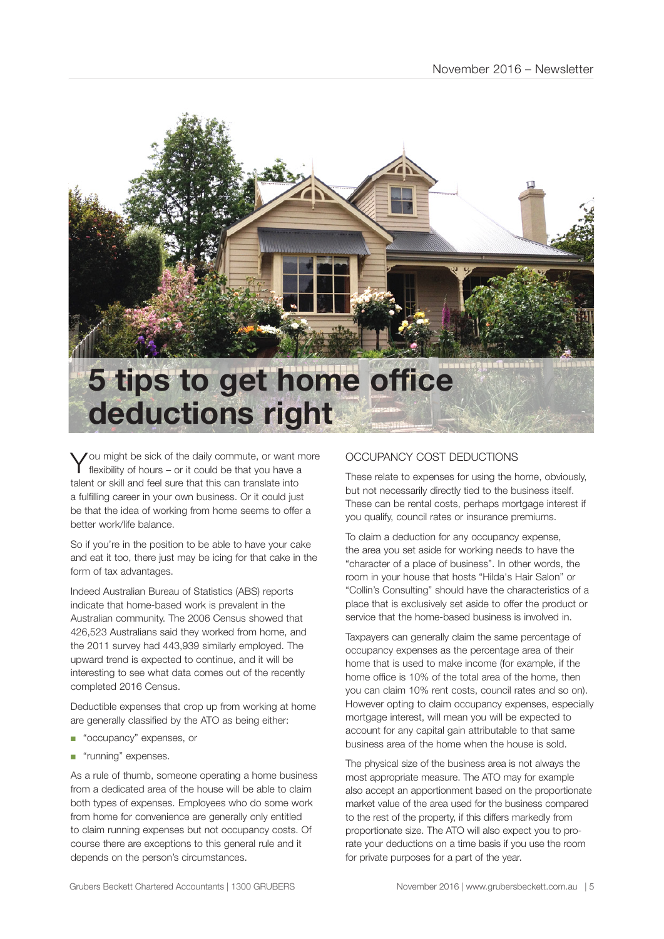

You might be sick of the daily commute, or want more flexibility of hours – or it could be that you have a talent or skill and feel sure that this can translate into a fulfilling career in your own business. Or it could just be that the idea of working from home seems to offer a better work/life balance.

So if you're in the position to be able to have your cake and eat it too, there just may be icing for that cake in the form of tax advantages.

Indeed Australian Bureau of Statistics (ABS) reports indicate that home-based work is prevalent in the Australian community. The 2006 Census showed that 426,523 Australians said they worked from home, and the 2011 survey had 443,939 similarly employed. The upward trend is expected to continue, and it will be interesting to see what data comes out of the recently completed 2016 Census.

Deductible expenses that crop up from working at home are generally classified by the ATO as being either:

- "occupancy" expenses, or
- "running" expenses.

As a rule of thumb, someone operating a home business from a dedicated area of the house will be able to claim both types of expenses. Employees who do some work from home for convenience are generally only entitled to claim running expenses but not occupancy costs. Of course there are exceptions to this general rule and it depends on the person's circumstances.

#### OCCUPANCY COST DEDUCTIONS

These relate to expenses for using the home, obviously, but not necessarily directly tied to the business itself. These can be rental costs, perhaps mortgage interest if you qualify, council rates or insurance premiums.

To claim a deduction for any occupancy expense, the area you set aside for working needs to have the "character of a place of business". In other words, the room in your house that hosts "Hilda's Hair Salon" or "Collin's Consulting" should have the characteristics of a place that is exclusively set aside to offer the product or service that the home-based business is involved in.

Taxpayers can generally claim the same percentage of occupancy expenses as the percentage area of their home that is used to make income (for example, if the home office is 10% of the total area of the home, then you can claim 10% rent costs, council rates and so on). However opting to claim occupancy expenses, especially mortgage interest, will mean you will be expected to account for any capital gain attributable to that same business area of the home when the house is sold.

The physical size of the business area is not always the most appropriate measure. The ATO may for example also accept an apportionment based on the proportionate market value of the area used for the business compared to the rest of the property, if this differs markedly from proportionate size. The ATO will also expect you to prorate your deductions on a time basis if you use the room for private purposes for a part of the year.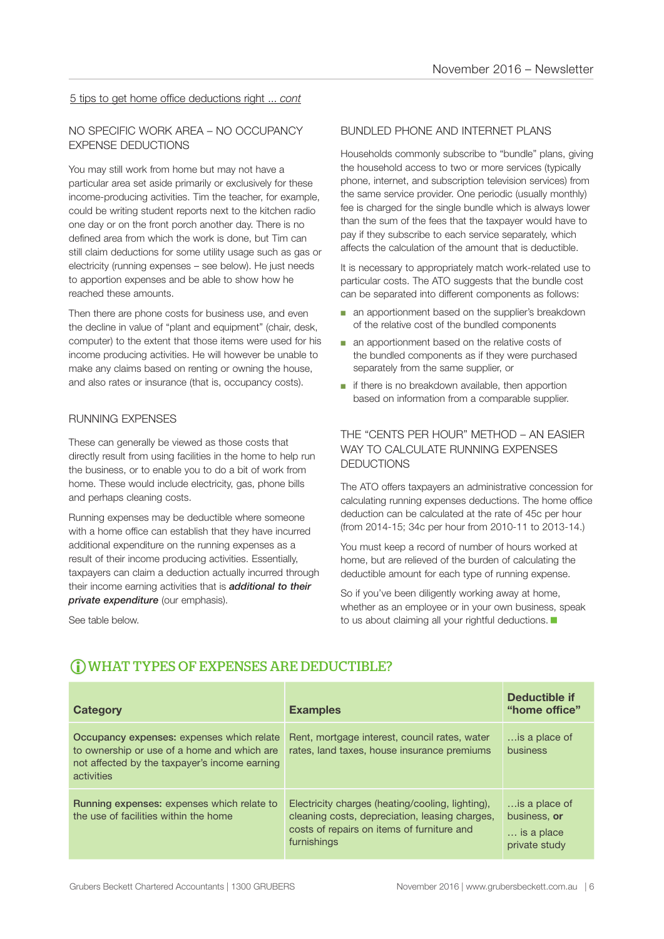#### 5 tips to get home office deductions right ... *cont*

#### NO SPECIFIC WORK AREA – NO OCCUPANCY EXPENSE DEDUCTIONS

You may still work from home but may not have a particular area set aside primarily or exclusively for these income-producing activities. Tim the teacher, for example, could be writing student reports next to the kitchen radio one day or on the front porch another day. There is no defined area from which the work is done, but Tim can still claim deductions for some utility usage such as gas or electricity (running expenses – see below). He just needs to apportion expenses and be able to show how he reached these amounts.

Then there are phone costs for business use, and even the decline in value of "plant and equipment" (chair, desk, computer) to the extent that those items were used for his income producing activities. He will however be unable to make any claims based on renting or owning the house, and also rates or insurance (that is, occupancy costs).

#### RUNNING EXPENSES

These can generally be viewed as those costs that directly result from using facilities in the home to help run the business, or to enable you to do a bit of work from home. These would include electricity, gas, phone bills and perhaps cleaning costs.

Running expenses may be deductible where someone with a home office can establish that they have incurred additional expenditure on the running expenses as a result of their income producing activities. Essentially, taxpayers can claim a deduction actually incurred through their income earning activities that is *additional to their private expenditure* (our emphasis).

See table below.

#### BUNDLED PHONE AND INTERNET PLANS

Households commonly subscribe to "bundle" plans, giving the household access to two or more services (typically phone, internet, and subscription television services) from the same service provider. One periodic (usually monthly) fee is charged for the single bundle which is always lower than the sum of the fees that the taxpayer would have to pay if they subscribe to each service separately, which affects the calculation of the amount that is deductible.

It is necessary to appropriately match work-related use to particular costs. The ATO suggests that the bundle cost can be separated into different components as follows:

- an apportionment based on the supplier's breakdown of the relative cost of the bundled components
- an apportionment based on the relative costs of the bundled components as if they were purchased separately from the same supplier, or
- if there is no breakdown available, then apportion based on information from a comparable supplier.

#### THE "CENTS PER HOUR" METHOD – AN EASIER WAY TO CALCULATE RUNNING EXPENSES DEDUCTIONS

The ATO offers taxpayers an administrative concession for calculating running expenses deductions. The home office deduction can be calculated at the rate of 45c per hour (from 2014-15; 34c per hour from 2010-11 to 2013-14.)

You must keep a record of number of hours worked at home, but are relieved of the burden of calculating the deductible amount for each type of running expense.

So if you've been diligently working away at home, whether as an employee or in your own business, speak to us about claiming all your rightful deductions.

| <b>Category</b>                                                                                                                                         | <b>Examples</b>                                                                                                                                                 | <b>Deductible if</b><br>"home office"                        |
|---------------------------------------------------------------------------------------------------------------------------------------------------------|-----------------------------------------------------------------------------------------------------------------------------------------------------------------|--------------------------------------------------------------|
| Occupancy expenses: expenses which relate<br>to ownership or use of a home and which are<br>not affected by the taxpayer's income earning<br>activities | Rent, mortgage interest, council rates, water<br>rates, land taxes, house insurance premiums                                                                    | is a place of<br>business                                    |
| Running expenses: expenses which relate to<br>the use of facilities within the home                                                                     | Electricity charges (heating/cooling, lighting),<br>cleaning costs, depreciation, leasing charges,<br>costs of repairs on items of furniture and<br>furnishings | is a place of<br>business, or<br>is a place<br>private study |

#### WHAT TYPES OF EXPENSES ARE DEDUCTIBLE?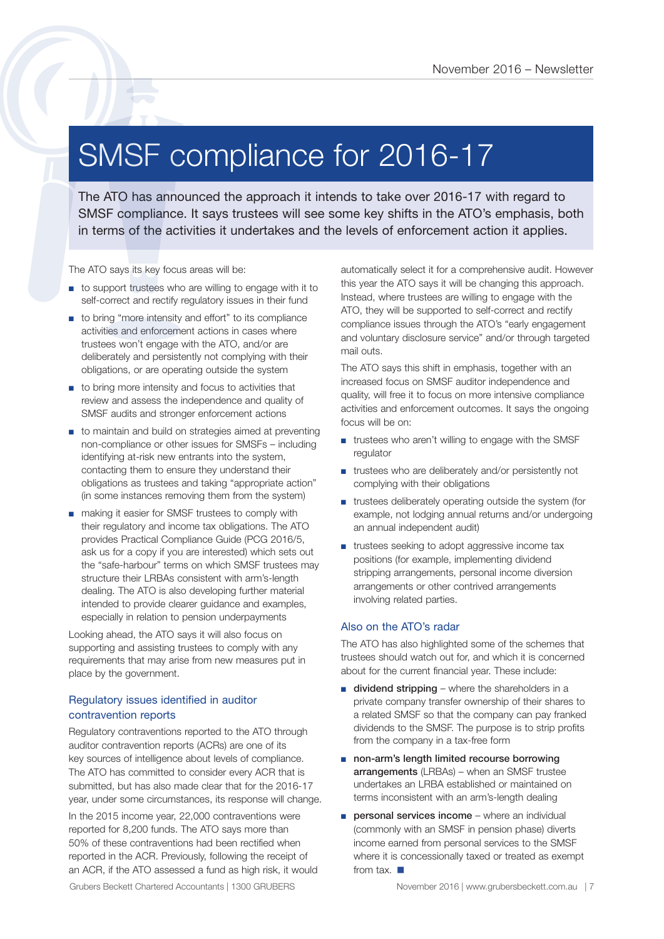### SMSF compliance for 2016-17

The ATO has announced the approach it intends to take over 2016-17 with regard to SMSF compliance for 2016 - Newslette<br>
SMSF compliance the approach it intends to take over 2016-17 with regard to<br>
SMSF compliance. It says trustees will see some key shifts in the ATO's emphasis, both<br>
in terms of the act

The ATO says its key focus areas will be:

- to support trustees who are willing to engage with it to self-correct and rectify regulatory issues in their fund
- to bring "more intensity and effort" to its compliance activities and enforcement actions in cases where trustees won't engage with the ATO, and/or are deliberately and persistently not complying with their obligations, or are operating outside the system
- to bring more intensity and focus to activities that review and assess the independence and quality of SMSF audits and stronger enforcement actions
- to maintain and build on strategies aimed at preventing non-compliance or other issues for SMSFs – including identifying at-risk new entrants into the system, contacting them to ensure they understand their obligations as trustees and taking "appropriate action" (in some instances removing them from the system)
- making it easier for SMSF trustees to comply with their regulatory and income tax obligations. The ATO provides Practical Compliance Guide (PCG 2016/5, ask us for a copy if you are interested) which sets out the "safe-harbour" terms on which SMSF trustees may structure their LRBAs consistent with arm's-length dealing. The ATO is also developing further material intended to provide clearer guidance and examples, especially in relation to pension underpayments

Looking ahead, the ATO says it will also focus on supporting and assisting trustees to comply with any requirements that may arise from new measures put in place by the government.

#### Regulatory issues identified in auditor contravention reports

Regulatory contraventions reported to the ATO through auditor contravention reports (ACRs) are one of its key sources of intelligence about levels of compliance. The ATO has committed to consider every ACR that is submitted, but has also made clear that for the 2016-17 year, under some circumstances, its response will change.

In the 2015 income year, 22,000 contraventions were reported for 8,200 funds. The ATO says more than 50% of these contraventions had been rectified when reported in the ACR. Previously, following the receipt of an ACR, if the ATO assessed a fund as high risk, it would automatically select it for a comprehensive audit. However this year the ATO says it will be changing this approach. Instead, where trustees are willing to engage with the ATO, they will be supported to self-correct and rectify compliance issues through the ATO's "early engagement and voluntary disclosure service" and/or through targeted mail outs.

The ATO says this shift in emphasis, together with an increased focus on SMSF auditor independence and quality, will free it to focus on more intensive compliance activities and enforcement outcomes. It says the ongoing focus will be on:

- trustees who aren't willing to engage with the SMSF regulator
- trustees who are deliberately and/or persistently not complying with their obligations
- trustees deliberately operating outside the system (for example, not lodging annual returns and/or undergoing an annual independent audit)
- trustees seeking to adopt aggressive income tax positions (for example, implementing dividend stripping arrangements, personal income diversion arrangements or other contrived arrangements involving related parties.

#### Also on the ATO's radar

The ATO has also highlighted some of the schemes that trustees should watch out for, and which it is concerned about for the current financial year. These include:

- dividend stripping where the shareholders in a private company transfer ownership of their shares to a related SMSF so that the company can pay franked dividends to the SMSF. The purpose is to strip profits from the company in a tax-free form
- non-arm's length limited recourse borrowing arrangements (LRBAs) – when an SMSF trustee undertakes an LRBA established or maintained on terms inconsistent with an arm's-length dealing
- personal services income where an individual (commonly with an SMSF in pension phase) diverts income earned from personal services to the SMSF where it is concessionally taxed or treated as exempt from tax.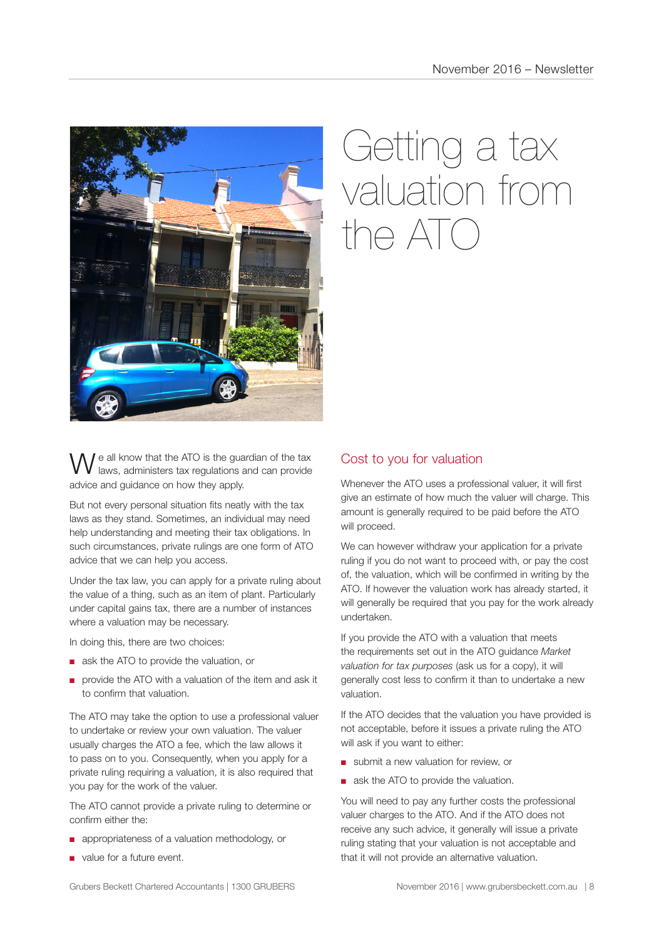

## Getting a tax valuation from  $n \in \Delta T$

e all know that the ATO is the guardian of the tax laws, administers tax regulations and can provide advice and guidance on how they apply.

But not every personal situation fits neatly with the tax laws as they stand. Sometimes, an individual may need help understanding and meeting their tax obligations. In such circumstances, private rulings are one form of ATO advice that we can help you access.

Under the tax law, you can apply for a private ruling about the value of a thing, such as an item of plant. Particularly under capital gains tax, there are a number of instances where a valuation may be necessary.

In doing this, there are two choices:

- ask the ATO to provide the valuation, or
- provide the ATO with a valuation of the item and ask it to confirm that valuation.

The ATO may take the option to use a professional valuer to undertake or review your own valuation. The valuer usually charges the ATO a fee, which the law allows it to pass on to you. Consequently, when you apply for a private ruling requiring a valuation, it is also required that you pay for the work of the valuer.

The ATO cannot provide a private ruling to determine or confirm either the:

- appropriateness of a valuation methodology, or
- value for a future event.

#### Cost to you for valuation

Whenever the ATO uses a professional valuer, it will first give an estimate of how much the valuer will charge. This amount is generally required to be paid before the ATO will proceed.

We can however withdraw your application for a private ruling if you do not want to proceed with, or pay the cost of, the valuation, which will be confirmed in writing by the ATO. If however the valuation work has already started, it will generally be required that you pay for the work already undertaken.

If you provide the ATO with a valuation that meets the requirements set out in the ATO guidance *Market valuation for tax purposes* (ask us for a copy), it will generally cost less to confirm it than to undertake a new valuation.

If the ATO decides that the valuation you have provided is not acceptable, before it issues a private ruling the ATO will ask if you want to either:

- submit a new valuation for review, or
- ask the ATO to provide the valuation.

You will need to pay any further costs the professional valuer charges to the ATO. And if the ATO does not receive any such advice, it generally will issue a private ruling stating that your valuation is not acceptable and that it will not provide an alternative valuation.